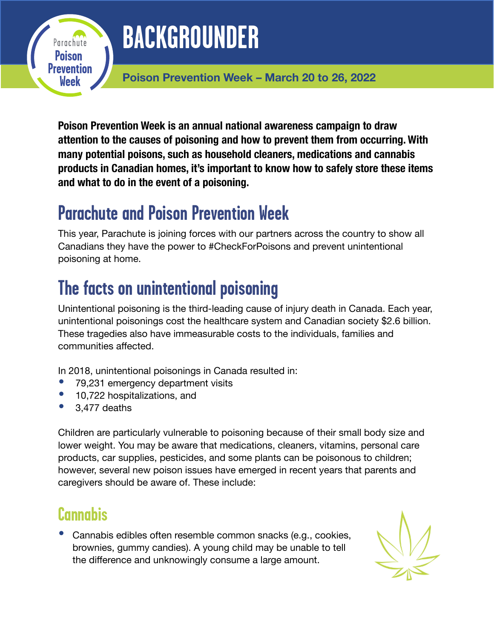# **BACKGROUNDER**

**Poison Prevention Week – March 20 to 26, 2022**

**Poison Prevention Week is an annual national awareness campaign to draw attention to the causes of poisoning and how to prevent them from occurring. With many potential poisons, such as household cleaners, medications and cannabis products in Canadian homes, it's important to know how to safely store these items and what to do in the event of a poisoning.** 

# **Parachute and Poison Prevention Week**

This year, Parachute is joining forces with our partners across the country to show all Canadians they have the power to #CheckForPoisons and prevent unintentional poisoning at home.

# **The facts on unintentional poisoning**

Unintentional poisoning is the third-leading cause of injury death in Canada. Each year, unintentional poisonings cost the healthcare system and Canadian society \$2.6 billion. These tragedies also have immeasurable costs to the individuals, families and communities affected.

In 2018, unintentional poisonings in Canada resulted in:

- 79,231 emergency department visits<br>• 10.722 hospitalizations and
- 10,722 hospitalizations, and<br>• 3.477 deaths
- 3,477 deaths

**Poison Prevention Week**

Parachute

Children are particularly vulnerable to poisoning because of their small body size and lower weight. You may be aware that medications, cleaners, vitamins, personal care products, car supplies, pesticides, and some plants can be poisonous to children; however, several new poison issues have emerged in recent years that parents and caregivers should be aware of. These include:

#### **Cannabis**

• Cannabis edibles often resemble common snacks (e.g., cookies, brownies, gummy candies). A young child may be unable to tell the difference and unknowingly consume a large amount.

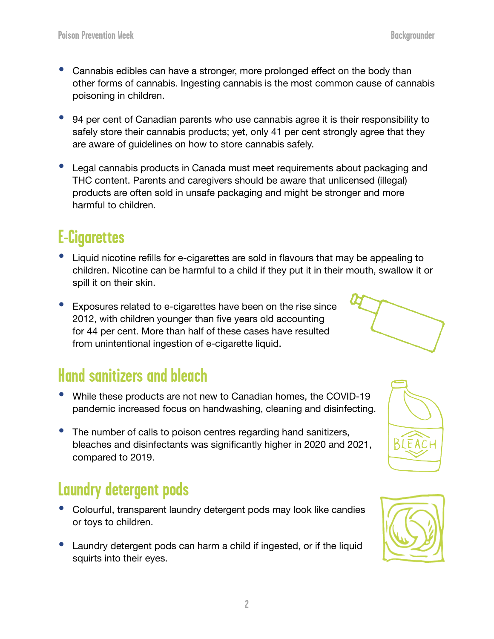- Cannabis edibles can have a stronger, more prolonged effect on the body than other forms of cannabis. Ingesting cannabis is the most common cause of cannabis poisoning in children.
- 94 per cent of Canadian parents who use cannabis agree it is their responsibility to safely store their cannabis products; yet, only 41 per cent strongly agree that they are aware of guidelines on how to store cannabis safely.
- Legal cannabis products in Canada must meet requirements about packaging and THC content. Parents and caregivers should be aware that unlicensed (illegal) products are often sold in unsafe packaging and might be stronger and more harmful to children.

## **E-Cigarettes**

- Liquid nicotine refills for e-cigarettes are sold in flavours that may be appealing to children. Nicotine can be harmful to a child if they put it in their mouth, swallow it or spill it on their skin.
- Exposures related to e-cigarettes have been on the rise since 2012, with children younger than five years old accounting for 44 per cent. More than half of these cases have resulted from unintentional ingestion of e-cigarette liquid.

#### **Hand sanitizers and bleach**

- While these products are not new to Canadian homes, the COVID-19 pandemic increased focus on handwashing, cleaning and disinfecting.
- The number of calls to poison centres regarding hand sanitizers, bleaches and disinfectants was significantly higher in 2020 and 2021, compared to 2019.

#### **Laundry detergent pods**

- Colourful, transparent laundry detergent pods may look like candies or toys to children.
- Laundry detergent pods can harm a child if ingested, or if the liquid squirts into their eyes.